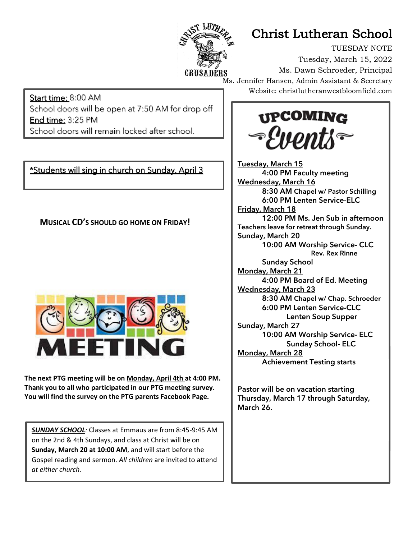

## Christ Lutheran School

TUESDAY NOTE Tuesday, March 15, 2022 Ms. Dawn Schroeder, Principal Ms. Jennifer Hansen, Admin Assistant & Secretary Website: christlutheranwestbloomfield.com

Start time: 8:00 AM School doors will be open at 7:50 AM for drop off End time: 3:25 PM School doors will remain locked after school.

\*Students will sing in church on Sunday, April 3

Ī

 **MUSICAL CD'S SHOULD GO HOME ON FRIDAY!**



**The next PTG meeting will be on Monday, April 4th at 4:00 PM. Thank you to all who participated in our PTG meeting survey. You will find the survey on the PTG parents Facebook Page.**

*SUNDAY SCHOOL:* Classes at Emmaus are from 8:45-9:45 AM on the 2nd & 4th Sundays, and class at Christ will be on **Sunday, March 20 at 10:00 AM**, and will start before the Gospel reading and sermon. *All children* are invited to attend *at either church.*



Tuesday, March 15 4:00 PM Faculty meeting Wednesday, March 16 8:30 AM Chapel w/ Pastor Schilling 6:00 PM Lenten Service-ELC Friday, March 18 12:00 PM Ms. Jen Sub in afternoon Teachers leave for retreat through Sunday. Sunday, March 20 10:00 AM Worship Service- CLC Rev. Rex Rinne Sunday School Monday, March 21 4:00 PM Board of Ed. Meeting Wednesday, March 23 8:30 AM Chapel w/ Chap. Schroeder 6:00 PM Lenten Service-CLC Lenten Soup Supper Sunday, March 27 10:00 AM Worship Service- ELC Sunday School- ELC Monday, March 28 Achievement Testing starts

Pastor will be on vacation starting Thursday, March 17 through Saturday, March 26.